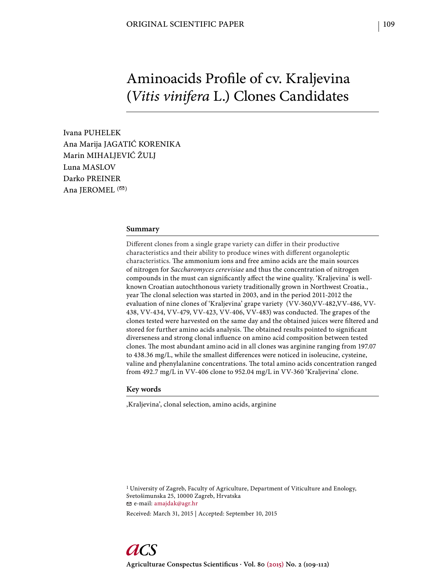# Aminoacids Profile of cv. Kraljevina (*Vitis vinifera* L.) Clones Candidates

Ivana PUHELEK Ana Marija JAGATIĆ KORENIKA Marin MIHALJEVIĆ ŽULJ Luna MASLOV Darko PREINER Ana JEROMEL  $($ <sup> $\odot$ </sup>)

#### **Summary**

Different clones from a single grape variety can differ in their productive characteristics and their ability to produce wines with different organoleptic characteristics. The ammonium ions and free amino acids are the main sources of nitrogen for *Saccharomyces cerevisiae* and thus the concentration of nitrogen compounds in the must can significantly affect the wine quality. 'Kraljevina' is wellknown Croatian autochthonous variety traditionally grown in Northwest Croatia., year The clonal selection was started in 2003, and in the period 2011-2012 the evaluation of nine clones of 'Kraljevina' grape variety (VV-360,VV-482,VV-486, VV-438, VV-434, VV-479, VV-423, VV-406, VV-483) was conducted. The grapes of the clones tested were harvested on the same day and the obtained juices were filtered and stored for further amino acids analysis. The obtained results pointed to significant diverseness and strong clonal influence on amino acid composition between tested clones. The most abundant amino acid in all clones was arginine ranging from 197.07 to 438.36 mg/L, while the smallest differences were noticed in isoleucine, cysteine, valine and phenylalanine concentrations. The total amino acids concentration ranged from 492.7 mg/L in VV-406 clone to 952.04 mg/L in VV-360 'Kraljevina' clone.

#### **Key words**

'Kraljevina', clonal selection, amino acids, arginine

<sup>1</sup> University of Zagreb, Faculty of Agriculture, Department of Viticulture and Enology, Svetošimunska 25, 10000 Zagreb, Hrvatska e-mail: amajdak@agr.hr

Received: March 31, 2015 | Accepted: September 10, 2015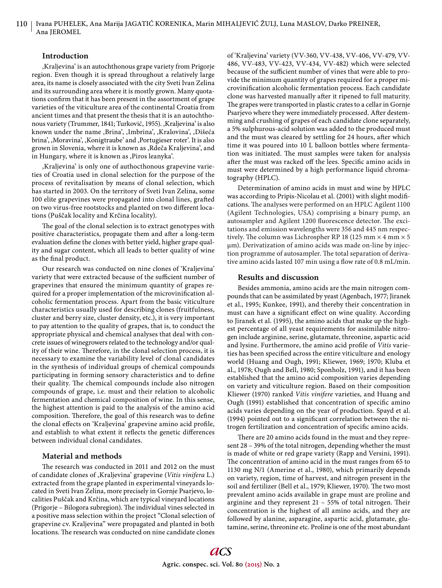## **Introduction**

'Kraljevina' is an autochthonous grape variety from Prigorje region. Even though it is spread throughout a relatively large area, its name is closely associated with the city Sveti Ivan Zelina and its surrounding area where it is mostly grown. Many quotations confirm that it has been present in the assortment of grape varieties of the viticulture area of the continental Croatia from ancient times and that present the thesis that it is an autochthonous variety (Trummer, 1841; Turković, 1955). , Kraljevina' is also known under the name ,Brina', ,Imbrina', ,Kralovina', ,Dišeća brina', , Moravina', , Konigtraube' and , Portugieser roter'. It is also grown in Slovenia, where it is known as , Rdeča Kraljevina', and in Hungary, where it is known as , Piros leanyka'.

,Kraljevina' is only one of authocthonous grapevine varieties of Croatia used in clonal selection for the purpose of the process of revitalisation by means of clonal selection, which has started in 2003. On the territory of Sveti Ivan Zelina, some 100 elite grapevines were propagated into clonal lines, grafted on two virus-free rootstocks and planted on two different locations (Puščak locality and Krčina locality).

The goal of the clonal selection is to extract genotypes with positive characteristics, propagate them and after a long-term evaluation define the clones with better yield, higher grape quality and sugar content, which all leads to better quality of wine as the final product.

Our research was conducted on nine clones of 'Kraljevina' variety that were extracted because of the sufficient number of grapevines that ensured the minimum quantity of grapes required for a proper implementation of the microvinification alcoholic fermentation process. Apart from the basic viticulture characteristics usually used for describing clones (fruitfulness, cluster and berry size, cluster density, etc.), it is very important to pay attention to the quality of grapes, that is, to conduct the appropriate physical and chemical analyses that deal with concrete issues of winegrowers related to the technology and/or quality of their wine. Therefore, in the clonal selection process, it is necessary to examine the variability level of clonal candidates in the synthesis of individual groups of chemical compounds participating in forming sensory characteristics and to define their quality. The chemical compounds include also nitrogen compounds of grape, i.e. must and their relation to alcoholic fermentation and chemical composition of wine. In this sense, the highest attention is paid to the analysis of the amino acid composition. Therefore, the goal of this research was to define the clonal effects on 'Kraljevina' grapevine amino acid profile, and establish to what extent it reflects the genetic differences between individual clonal candidates.

## **Material and methods**

The research was conducted in 2011 and 2012 on the must of candidate clones of 'Kraljevina' grapevine (*Vitis vinifera* L.) extracted from the grape planted in experimental vineyards located in Sveti Ivan Zelina, more precisely in Gornje Psarjevo, localities Puščak and Krčina, which are typical vineyard locations (Prigorje – Bilogora subregion). The individual vines selected in a positive mass selection within the project "Clonal selection of grapevine cv. Kraljevina" were propagated and planted in both locations. The research was conducted on nine candidate clones

of 'Kraljevina' variety (VV-360, VV-438, VV-406, VV-479, VV-486, VV-483, VV-423, VV-434, VV-482) which were selected because of the sufficient number of vines that were able to provide the minimum quantity of grapes required for a proper microvinification alcoholic fermentation process. Each candidate clone was harvested manually after it ripened to full maturity. The grapes were transported in plastic crates to a cellar in Gornje Psarjevo where they were immediately processed. After destemming and crushing of grapes of each candidate clone separately, a 5% sulphurous-acid solution was added to the produced must and the must was cleared by settling for 24 hours, after which time it was poured into 10 L balloon bottles where fermentation was initiated. The must samples were taken for analysis after the must was racked off the lees. Specific amino acids in must were determined by a high performance liquid chromatography (HPLC).

Determination of amino acids in must and wine by HPLC was according to Pripis-Nicolau et al. (2001) with slight modifi cations. The analyses were performed on an HPLC Agilent 1100 (Agilent Technologies, USA) comprising a binary pump, an autosampler and Agilent 1200 fluorescence detector. The excitations and emission wavelengths were 356 and 445 nm respectively. The column was Lichrospher RP 18 (125 mm  $\times$  4 mm  $\times$  5 μm). Derivatization of amino acids was made on-line by injection programme of autosampler. The total separation of derivative amino acids lasted 107 min using a flow rate of 0.8 mL/min.

#### **Results and discussion**

Besides ammonia, amino acids are the main nitrogen compounds that can be assimilated by yeast (Agenbach, 1977; Jiranek et al., 1995; Kunkee, 1991), and thereby their concentration in must can have a significant effect on wine quality. According to Jiranek et al. (1995), the amino acids that make up the highest percentage of all yeast requirements for assimilable nitrogen include arginine, serine, glutamate, threonine, aspartic acid and lysine. Furthermore, the amino acid profile of *Vitis* varieties has been specified across the entire viticulture and enology world (Huang and Ough, 1991; Kliewer, 1969; 1970; Kluba et al., 1978; Ough and Bell, 1980; Sponholz, 1991), and it has been established that the amino acid composition varies depending on variety and viticulture region. Based on their composition Kliewer (1970) ranked *Vitis vinifere* varieties, and Huang and Ough (1991) established that concentration of specific amino acids varies depending on the year of production. Spayd et al.  $(1994)$  pointed out to a significant correlation between the nitrogen fertilization and concentration of specific amino acids.

There are 20 amino acids found in the must and they represent 28 – 39% of the total nitrogen, depending whether the must is made of white or red grape variety (Rapp and Versini, 1991). The concentration of amino acid in the must ranges from 65 to 1130 mg N/1 (Amerine et al., 1980), which primarily depends on variety, region, time of harvest, and nitrogen present in the soil and fertilizer (Bell et al., 1979; Kliewer, 1970). The two most prevalent amino acids available in grape must are proline and arginine and they represent  $21 - 55%$  of total nitrogen. Their concentration is the highest of all amino acids, and they are followed by alanine, asparagine, aspartic acid, glutamate, glutamine, serine, threonine etc. Proline is one of the most abundant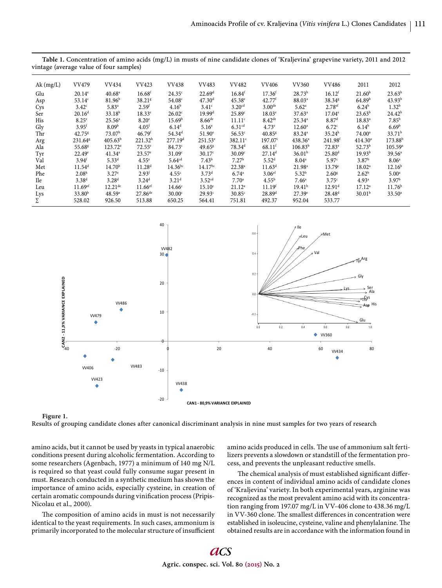| Ak(mg/L)   | VV479                 | VV434               | <b>VV423</b>          | <b>VV438</b>        | VV483                | <b>VV482</b>         | <b>VV406</b>         | <b>VV360</b>         | <b>VV486</b>       | 2011               | 2012                |
|------------|-----------------------|---------------------|-----------------------|---------------------|----------------------|----------------------|----------------------|----------------------|--------------------|--------------------|---------------------|
| Glu        | $20.14^e$             | 40.68 <sup>a</sup>  | 16.68 <sup>f</sup>    | 24.35 <sup>c</sup>  | 22.69 <sup>d</sup>   | $16.84$ <sup>f</sup> | 17.36 <sup>f</sup>   | $28.73^{b}$          | 16.12 <sup>f</sup> | 21.60 <sup>b</sup> | $23.63^{b}$         |
| Asp        | $53.14^{\circ}$       | 81.96 <sup>b</sup>  | 38.21 <sup>g</sup>    | 54.08 <sup>c</sup>  | 47.30 <sup>d</sup>   | $45.38^e$            | 42.77 <sup>f</sup>   | 88.03 <sup>a</sup>   | 38.34 <sup>g</sup> | 64.89 <sup>b</sup> | $43.93^{b}$         |
| Cys        | $3.42^{\circ}$        | $5.83^{a}$          | 2.59 <sup>f</sup>     | 4.16 <sup>b</sup>   | 3.41 <sup>c</sup>    | 3.20 <sup>cd</sup>   | 3.00 <sup>de</sup>   | 5.62 <sup>a</sup>    | 2.78 <sup>ef</sup> | $6.24^{b}$         | 1.32 <sup>b</sup>   |
| Ser        | 20.16 <sup>d</sup>    | 33.18 <sup>b</sup>  | $18.33^e$             | 26.02 <sup>c</sup>  | 19.99 <sup>d</sup>   | 25.89 <sup>c</sup>   | $18.03^e$            | $37.63^a$            | $17.04^e$          | $23.63^{b}$        | $24.42^{b}$         |
| <b>His</b> | $8.25^{\circ}$        | 25.56 <sup>a</sup>  | 8.20 <sup>e</sup>     | 15.69 <sup>b</sup>  | $8.66$ <sup>de</sup> | 11.11 <sup>c</sup>   | $8.42$ <sup>de</sup> | $25.34^{a}$          | 8.87 <sup>d</sup>  | $18.83^{a}$        | $7.85^{b}$          |
| Gly        | $3.95$ <sup>f</sup>   | 8.09 <sup>b</sup>   | $4.05$ <sup>f</sup>   | $6.14^{d}$          | 5.16 <sup>e</sup>    | 6.31 <sup>cd</sup>   | 4.73 <sup>e</sup>    | $12.60^{\circ}$      | 6.72 <sup>c</sup>  | $6.14^{b}$         | 6.69 <sup>b</sup>   |
| Thr        | $42.75^{8}$           | 73.07 <sup>b</sup>  | $46.79$ <sup>f</sup>  | 54.34 <sup>d</sup>  | $51.90^e$            | $56.53$ <sup>c</sup> | $40.85$ <sup>g</sup> | $83.24$ <sup>a</sup> | $35.24^h$          | $74.00^{\circ}$    | 33.71 <sup>b</sup>  |
| Arg        | 231.64 <sup>8</sup>   | $405.63^{b}$        | 221.32 <sup>h</sup>   | 277.19 <sup>d</sup> | $251.53^e$           | $382.11^{\circ}$     | $197.07^{\rm i}$     | $438.36^{\circ}$     | 241.98f            | $414.30^a$         | 173.88 <sup>b</sup> |
| Ala        | 55.68 <sup>g</sup>    | $123.72^a$          | $72.55^{\circ}$       | 84.73c              | 49.65 <sup>g</sup>   | $78.34$ <sup>d</sup> | $68.11^{f}$          | $106.83^{b}$         | $72.83^e$          | $52.73^{b}$        | $105.59^{\circ}$    |
| Tyr        | $22.49^e$             | $41.34^a$           | $23.57^{\circ}$       | 31.09 <sup>c</sup>  | 30.17 <sup>c</sup>   | 30.09 <sup>c</sup>   | 27.14 <sup>d</sup>   | 36.01 <sup>b</sup>   | 25.80 <sup>d</sup> | 19.93 <sup>b</sup> | $39.56^{\circ}$     |
| Val        | 3.94 <sup>f</sup>     | $5.33^{d}$          | 4.55 <sup>e</sup>     | 5.64 <sup>cd</sup>  | 7.43 <sup>b</sup>    | 7.27 <sup>b</sup>    | 5.52 <sup>d</sup>    | $8.04^{\circ}$       | 5.97 <sup>c</sup>  | 3.87 <sup>b</sup>  | 8.06 <sup>a</sup>   |
| Met        | $11.54^d$             | 14.70 <sup>b</sup>  | 11.28 <sup>d</sup>    | $14.36^{bc}$        | $14.17^{bc}$         | $22.38^{a}$          | 11.63 <sup>d</sup>   | 21.98 <sup>a</sup>   | 13.79 <sup>c</sup> | 18.02 <sup>a</sup> | 12.16 <sup>b</sup>  |
| Phe        | 2.08 <sup>h</sup>     | $3.27^e$            | 2.93 <sup>f</sup>     | 4.55c               | $3.73^{d}$           | $6.74$ <sup>a</sup>  | 3.06 <sup>ef</sup>   | $5.32^{b}$           | 2.60 <sup>g</sup>  | 2.62 <sup>b</sup>  | 5.00 <sup>a</sup>   |
| <b>Ile</b> | $3.38^{d}$            | 3.28 <sup>d</sup>   | 3.24 <sup>d</sup>     | 3.21 <sup>d</sup>   | 3.52 <sup>cd</sup>   | $7.70^a$             | $4.55^{\rm b}$       | $7.46^{\circ}$       | 3.75 <sup>c</sup>  | $4.93^{\circ}$     | 3.97 <sup>b</sup>   |
| Leu        | $11.69$ <sup>ef</sup> | $12.21^{\text{de}}$ | $11.66$ <sup>ef</sup> | 14.66 <sup>c</sup>  | 15.10 <sup>c</sup>   | $21.12^a$            | 11.19 <sup>f</sup>   | 19.41 <sup>b</sup>   | 12.91 <sup>d</sup> | $17.12^a$          | 11.76 <sup>b</sup>  |
| Lys        | 33.80 <sup>b</sup>    | 48.59a              | $27.86^{de}$          | $30.00^{\circ}$     | 29.93c               | $30.85^{\circ}$      | 28.89 <sup>d</sup>   | $27.39^e$            | $28.48^{d}$        | 30.01 <sup>b</sup> | $33.50^{\circ}$     |
| Σ          | 528.02                | 926.50              | 513.88                | 650.25              | 564.41               | 751.81               | 492.37               | 952.04               | 533.77             |                    |                     |
|            |                       |                     |                       |                     |                      |                      |                      |                      |                    |                    |                     |





**Figure 1.** 

Results of grouping candidate clones after canonical discriminant analysis in nine must samples for two years of research

amino acids, but it cannot be used by yeasts in typical anaerobic conditions present during alcoholic fermentation. According to some researchers (Agenbach, 1977) a minimum of 140 mg N/L is required so that yeast could fully consume sugar present in must. Research conducted in a synthetic medium has shown the importance of amino acids, especially cysteine, in creation of certain aromatic compounds during vinification process (Pripis-Nicolau et al., 2000).

The composition of amino acids in must is not necessarily identical to the yeast requirements. In such cases, ammonium is primarily incorporated to the molecular structure of insufficient amino acids produced in cells. The use of ammonium salt fertilizers prevents a slowdown or standstill of the fermentation process, and prevents the unpleasant reductive smells.

The chemical analysis of must established significant differences in content of individual amino acids of candidate clones of 'Kraljevina' variety. In both experimental years, arginine was recognized as the most prevalent amino acid with its concentration ranging from 197.07 mg/L in VV-406 clone to 438.36 mg/L in VV-360 clone. The smallest differences in concentration were established in isoleucine, cysteine, valine and phenylalanine. The obtained results are in accordance with the information found in